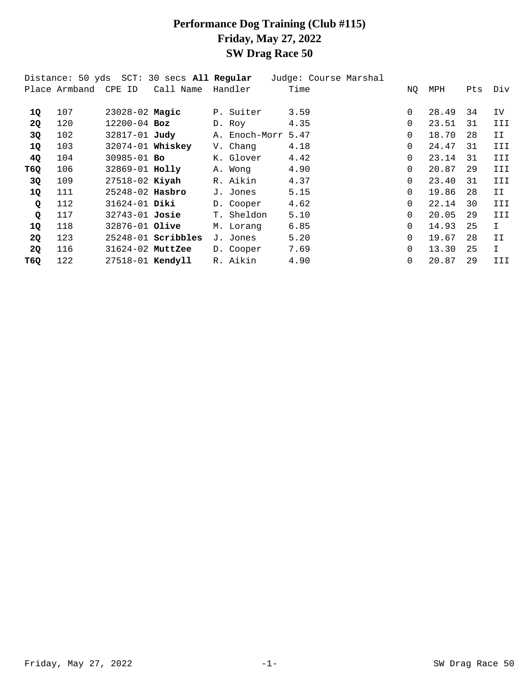## **Performance Dog Training (Club #115) Friday, May 27, 2022 SW Drag Race 50**

|      |                      |                     | Distance: 50 yds SCT: 30 secs All Regular |               | Judge: Course Marshal |          |       |     |              |
|------|----------------------|---------------------|-------------------------------------------|---------------|-----------------------|----------|-------|-----|--------------|
|      | Place Armband CPE ID |                     | Call Name                                 | Handler       | Time                  | NQ       | MPH   | Pts | Div          |
|      |                      |                     |                                           |               |                       |          |       |     |              |
| 1Q   | 107                  | $23028 - 02$ Magic  |                                           | P. Suiter     | 3.59                  | $\Omega$ | 28.49 | 34  | IV.          |
| 2Q   | 120                  | $12200 - 04$ Boz    |                                           | D. Roy        | 4.35                  | $\Omega$ | 23.51 | 31  | III          |
| 3Q   | 102                  | 32817-01 Judy       |                                           | A. Enoch-Morr | 5.47                  | 0        | 18.70 | 28  | IΙ           |
| 1Q   | 103                  | 32074-01 Whiskey    |                                           | V. Chang      | 4.18                  | $\Omega$ | 24.47 | 31  | III          |
| 4Q   | 104                  | $30985 - 01$ Bo     |                                           | K. Glover     | 4.42                  | $\Omega$ | 23.14 | 31  | III          |
| T60. | 106                  | 32869-01 Holly      |                                           | A. Wong       | 4.90                  | $\Omega$ | 20.87 | 29  | III          |
| 3Q   | 109                  | $27518 - 02$ Kiyah  |                                           | R. Aikin      | 4.37                  | $\Omega$ | 23.40 | 31  | III          |
| 1Q   | 111                  | $25248 - 02$ Hasbro |                                           | J. Jones      | 5.15                  | $\Omega$ | 19.86 | 28  | II.          |
| Q    | 112                  | $31624 - 01$ Diki   |                                           | D. Cooper     | 4.62                  | $\Omega$ | 22.14 | 30  | III          |
| Q    | 117                  | 32743-01 Josie      |                                           | T. Sheldon    | 5.10                  | $\Omega$ | 20.05 | 29  | III          |
| 1Q   | 118                  | 32876-01 Olive      |                                           | M. Lorang     | 6.85                  | $\Omega$ | 14.93 | 25  | $\mathbf{I}$ |
| 2Q   | 123                  |                     | $25248 - 01$ Scribbles                    | J. Jones      | 5.20                  | $\Omega$ | 19.67 | 28  | II           |
| 2Q   | 116                  | $31624-02$ MuttZee  |                                           | D. Cooper     | 7.69                  | $\Omega$ | 13.30 | 25  | $\mathbf I$  |
| T6Q  | 122                  | 27518-01 Kendyll    |                                           | R. Aikin      | 4.90                  | $\Omega$ | 20.87 | 29  | III          |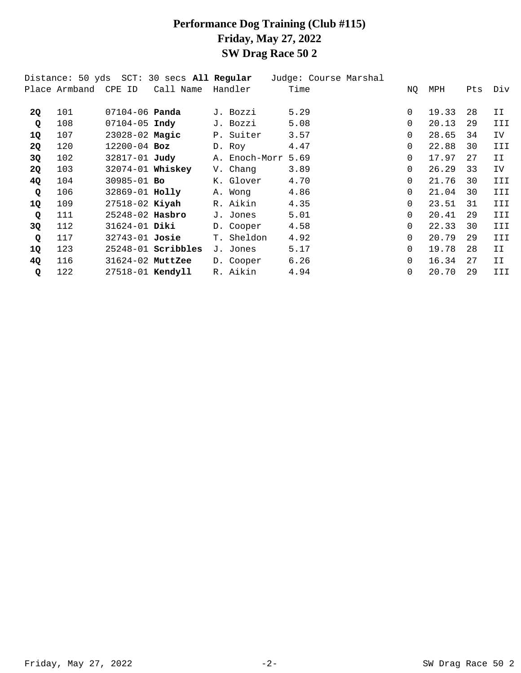### **Performance Dog Training (Club #115) Friday, May 27, 2022 SW Drag Race 50 2**

|              |                      |                         | Distance: 50 yds  SCT: 30 secs <b>All Reqular</b> |           |               | Judge: Course Marshal |          |       |     |     |
|--------------|----------------------|-------------------------|---------------------------------------------------|-----------|---------------|-----------------------|----------|-------|-----|-----|
|              | Place Armband CPE ID |                         | Call Name                                         | Handler   |               | Time                  | NQ       | MPH   | Pts | Div |
|              |                      |                         |                                                   |           |               |                       |          |       |     |     |
| <b>20</b>    | 101                  | $07104 - 06$ Panda      |                                                   | J. Bozzi  |               | 5.29                  | 0        | 19.33 | 28  | II. |
| Q            | 108                  | $07104 - 05$ Indy       |                                                   | J. Bozzi  |               | 5.08                  | $\Omega$ | 20.13 | 29  | III |
| 1Q           | 107                  | 23028-02 Magic          |                                                   | P. Suiter |               | 3.57                  | 0        | 28.65 | 34  | IV. |
| <b>2Q</b>    | 120                  | $12200 - 04$ Boz        |                                                   | D. Roy    |               | 4.47                  | 0        | 22.88 | 30  | III |
| 3Q           | 102                  | 32817-01 Judy           |                                                   |           | A. Enoch-Morr | 5.69                  | $\Omega$ | 17.97 | 27  | II  |
| 2Q           | 103                  |                         | 32074-01 Whiskey                                  | V. Chang  |               | 3.89                  | $\Omega$ | 26.29 | 33  | IV  |
| 4Q           | 104                  | $30985 - 01$ Bo         |                                                   | K. Glover |               | 4.70                  | 0        | 21.76 | 30  | III |
| Q            | 106                  | 32869-01 Holly          |                                                   | A. Wong   |               | 4.86                  | 0        | 21.04 | 30  | III |
| 1Q           | 109                  | 27518-02 Kiyah          |                                                   | R. Aikin  |               | 4.35                  | $\Omega$ | 23.51 | 31  | III |
| Q            | 111                  | $25248-02$ Hasbro       |                                                   | J. Jones  |               | 5.01                  | $\Omega$ | 20.41 | 29  | III |
| 3Q           | 112                  | $31624 - 01$ Diki       |                                                   | D. Cooper |               | 4.58                  | $\Omega$ | 22.33 | 30  | III |
| $\mathbf{Q}$ | 117                  | 32743-01 <b>Josie</b>   |                                                   |           | T. Sheldon    | 4.92                  | 0        | 20.79 | 29  | III |
| 1Q           | 123                  |                         | $25248-01$ Scribbles                              | J. Jones  |               | 5.17                  | 0        | 19.78 | 28  | II. |
| 4Q           | 116                  | 31624-02 MuttZee        |                                                   | D. Cooper |               | 6.26                  | 0        | 16.34 | 27  | II  |
| Q            | 122                  | 27518-01 <b>Kendyll</b> |                                                   | R. Aikin  |               | 4.94                  | 0        | 20.70 | 29  | III |
|              |                      |                         |                                                   |           |               |                       |          |       |     |     |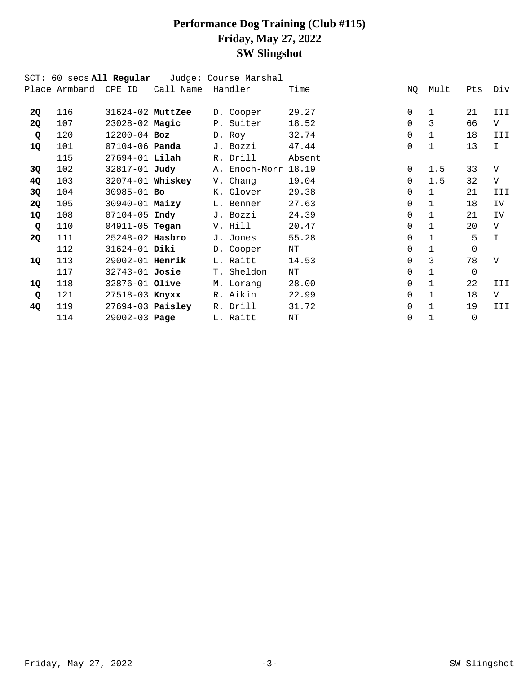# **Performance Dog Training (Club #115) Friday, May 27, 2022 SW Slingshot**

|             | SCT: 60 secs All Regular |                       |           | Judge: Course Marshal |        |              |              |          |               |
|-------------|--------------------------|-----------------------|-----------|-----------------------|--------|--------------|--------------|----------|---------------|
|             | Place Armband CPE ID     |                       | Call Name | Handler               | Time   | NQ           | Mult         | Pts      | Div           |
| 2Q          | 116                      | 31624-02 MuttZee      |           | D. Cooper             | 29.27  | $\mathbf{0}$ | $\mathbf 1$  | 21       | III           |
|             |                          |                       |           |                       |        | $\Omega$     |              |          |               |
| 2Q          | 107                      | 23028-02 Magic        |           | P. Suiter             | 18.52  |              | 3            | 66       | $\rm V$       |
| Q           | 120                      | $12200 - 04$ Boz      |           | D. Roy                | 32.74  | $\Omega$     | $\mathbf{1}$ | 18       | III           |
| 1Q          | 101                      | 07104-06 <b>Panda</b> |           | J. Bozzi              | 47.44  | $\Omega$     | $\mathbf{1}$ | 13       | I.            |
|             | 115                      | $27694 - 01$ Lilah    |           | R. Drill              | Absent |              |              |          |               |
| 3Q          | 102                      | 32817-01 <b>Judy</b>  |           | A. Enoch-Morr         | 18.19  | $\Omega$     | 1.5          | 33       | $\mathbf{V}$  |
| 4Q          | 103                      | 32074-01 Whiskey      |           | V. Chang              | 19.04  | $\Omega$     | 1.5          | 32       | $\mathbf{V}$  |
| 3Q          | 104                      | $30985 - 01$ Bo       |           | K. Glover             | 29.38  | $\Omega$     | $\mathbf{1}$ | 21       | III           |
| 2Q          | 105                      | 30940-01 Maizy        |           | L. Benner             | 27.63  | $\Omega$     | $\mathbf{1}$ | 18       | IV            |
| 1Q          | 108                      | $07104 - 05$ Indy     |           | J. Bozzi              | 24.39  | $\Omega$     | $\mathbf{1}$ | 21       | IV            |
| Q           | 110                      | 04911-05 <b>Tegan</b> |           | V. Hill               | 20.47  | $\Omega$     | $\mathbf{1}$ | 20       | $\mathbf{V}$  |
| 2Q          | 111                      | $25248 - 02$ Hasbro   |           | J. Jones              | 55.28  | $\Omega$     | $\mathbf 1$  | 5        | $\mathbbm{I}$ |
|             | 112                      | 31624-01 Diki         |           | D. Cooper             | ΝT     | $\Omega$     | $\mathbf{1}$ | $\Omega$ |               |
| 1Q          | 113                      | 29002-01 Henrik       |           | L. Raitt              | 14.53  | $\Omega$     | 3            | 78       | $\mathbf{V}$  |
|             | 117                      | 32743-01 Josie        |           | T. Sheldon            | NT     | $\Omega$     | $\mathbf{1}$ | $\Omega$ |               |
| 1Q          | 118                      | 32876-01 Olive        |           | M. Lorang             | 28.00  | $\Omega$     | $\mathbf{1}$ | 22       | III           |
| $\mathbf Q$ | 121                      | 27518-03 <b>Knyxx</b> |           | R. Aikin              | 22.99  | $\Omega$     | $\mathbf{1}$ | 18       | $\rm V$       |
| 4Q          | 119                      | $27694-03$ Paisley    |           | R. Drill              | 31.72  | $\Omega$     | $\mathbf{1}$ | 19       | III           |
|             | 114                      | 29002-03 Page         |           | L. Raitt              | ΝT     | 0            | $\mathbf{1}$ | $\Omega$ |               |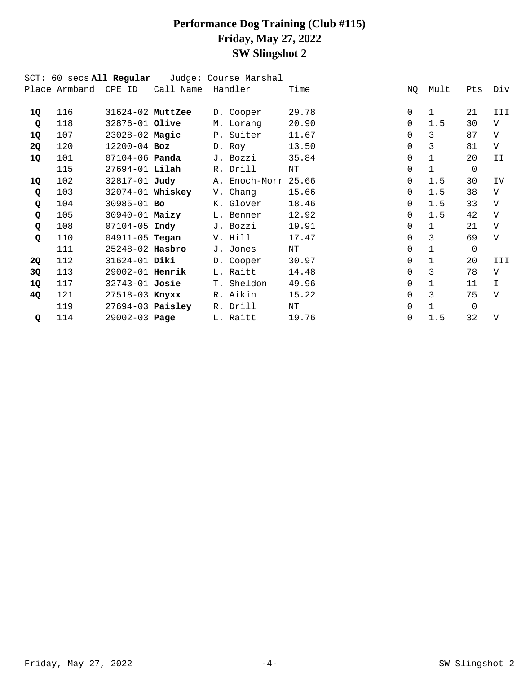## **Performance Dog Training (Club #115) Friday, May 27, 2022 SW Slingshot 2**

|    | SCT: 60 secs All Regular |                       |                  | Judge: Course Marshal |       |          |              |                |                |
|----|--------------------------|-----------------------|------------------|-----------------------|-------|----------|--------------|----------------|----------------|
|    | Place Armband CPE ID     |                       | Call Name        | Handler               | Time  | ΝQ       | Mult         | Pts            | Div            |
| 1Q | 116                      | $31624-02$ MuttZee    |                  | D. Cooper             | 29.78 | $\Omega$ | $\mathbf{1}$ | 21             | III            |
| Q  | 118                      | 32876-01 Olive        |                  | M. Lorang             | 20.90 | $\Omega$ | 1.5          | 30             | $\rm V$        |
| 1Q | 107                      | 23028-02 Magic        |                  | P. Suiter             | 11.67 | $\Omega$ | 3            | 87             | $\mathbf{V}$   |
| 2Q | 120                      | $12200 - 04$ Boz      |                  | D. Roy                | 13.50 | $\Omega$ | 3            | 81             | V              |
| 1Q | 101                      | 07104-06 <b>Panda</b> |                  | J. Bozzi              | 35.84 | $\Omega$ | $\mathbf{1}$ | 20             | II             |
|    | 115                      | $27694 - 01$ Lilah    |                  | R. Drill              | NT    | $\Omega$ | $\mathbf{1}$ | $\Omega$       |                |
| 1Q | 102                      | 32817-01 Judy         |                  | A. Enoch-Morr         | 25.66 | $\Omega$ | 1.5          | 30             | IV             |
| Q  | 103                      |                       | 32074-01 Whiskey | V. Chang              | 15.66 | $\Omega$ | 1.5          | 38             | $\rm V$        |
| Q  | 104                      | 30985-01 Bo           |                  | K. Glover             | 18.46 | $\Omega$ | 1.5          | 33             | $\mathbf{V}$   |
| Q  | 105                      | $30940 - 01$ Maizy    |                  | L. Benner             | 12.92 | $\Omega$ | 1.5          | 42             | $\mathbf{V}$   |
| Q  | 108                      | $07104 - 05$ Indy     |                  | J. Bozzi              | 19.91 | $\Omega$ | $\mathbf{1}$ | 21             | $\mathbf{V}$   |
| Q  | 110                      | 04911-05 <b>Tegan</b> |                  | V. Hill               | 17.47 | $\Omega$ | 3            | 69             | $\overline{V}$ |
|    | 111                      | 25248-02 Hasbro       |                  | J. Jones              | ΝT    | $\Omega$ | $\mathbf{1}$ | $\overline{0}$ |                |
| 2Q | 112                      | 31624-01 Diki         |                  | D. Cooper             | 30.97 | $\Omega$ | $\mathbf{1}$ | 20             | III            |
| 3Q | 113                      | 29002-01 Henrik       |                  | L. Raitt              | 14.48 | $\Omega$ | 3            | 78             | V              |
| 1Q | 117                      | 32743-01 Josie        |                  | T. Sheldon            | 49.96 | $\Omega$ | $\mathbf{1}$ | 11             | $\mathbf I$    |
| 4Q | 121                      | 27518-03 <b>Knyxx</b> |                  | R. Aikin              | 15.22 | $\Omega$ | 3            | 75             | $\overline{V}$ |
|    | 119                      | $27694-03$ Paisley    |                  | R. Drill              | ΝT    | $\Omega$ | $\mathbf 1$  | $\Omega$       |                |
| Q  | 114                      | $29002 - 03$ Page     |                  | L. Raitt              | 19.76 | $\Omega$ | 1.5          | 32             | $\mathbf{V}$   |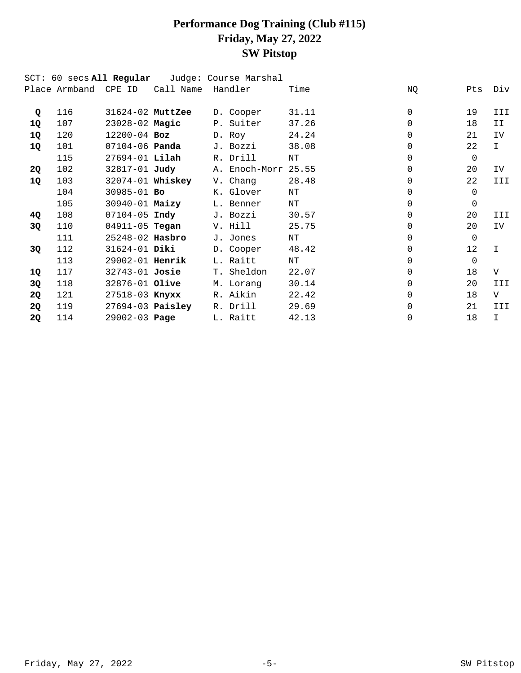# **Performance Dog Training (Club #115) Friday, May 27, 2022 SW Pitstop**

|           |                      | SCT: 60 secs <b>All Regular</b> |                       | Judge: Course Marshal |       |          |                   |              |
|-----------|----------------------|---------------------------------|-----------------------|-----------------------|-------|----------|-------------------|--------------|
|           | Place Armband CPE ID |                                 | Call Name             | Handler               | Time  | ΝQ       | Pts               | Div          |
| Q         | 116                  | 31624-02 MuttZee                |                       | D. Cooper             | 31.11 | $\Omega$ | 19                | III          |
| 1Q        | 107                  | 23028-02 Magic                  |                       | P. Suiter             | 37.26 | $\Omega$ | 18                | II           |
| 1Q        | 120                  | $12200 - 04$ Boz                |                       | D. Roy                | 24.24 | $\Omega$ | 21                | IV           |
| 1Q        | 101                  | 07104-06 <b>Panda</b>           |                       | J. Bozzi              | 38.08 | $\Omega$ | 22                | $\mathbf{I}$ |
|           | 115                  | 27694-01 Lilah                  |                       | R. Drill              | NT    | $\Omega$ | $\Omega$          |              |
| 2Q        | 102                  |                                 | 32817-01 <b>Judy</b>  | A. Enoch-Morr 25.55   |       | $\Omega$ | 20                | IV           |
| 1Q        | 103                  |                                 | 32074-01 Whiskey      | V. Chang              | 28.48 | $\Omega$ | 22                | III          |
|           | 104                  | $30985 - 01$ Bo                 |                       | K. Glover             | ΝT    | $\Omega$ | $\Omega$          |              |
|           | 105                  | 30940-01 Maizy                  |                       | L. Benner             | NT    | $\Omega$ | $\Omega$          |              |
| 4Q        | 108                  | $07104-05$ Indy                 |                       | J. Bozzi              | 30.57 | $\Omega$ | 20                | III          |
| 3Q        | 110                  |                                 | 04911-05 <b>Tegan</b> | V. Hill               | 25.75 | $\Omega$ | 20                | IV.          |
|           | 111                  | 25248-02 Hasbro                 |                       | J. Jones              | ΝT    | $\Omega$ | $\Omega$          |              |
| 3Q        | 112                  | 31624-01 Diki                   |                       | D. Cooper             | 48.42 | $\Omega$ | $12 \overline{ }$ | $\mathbf I$  |
|           | 113                  | 29002-01 Henrik                 |                       | L. Raitt              | NT    | $\Omega$ | $\Omega$          |              |
| 1Q        | 117                  | 32743-01 <b>Josie</b>           |                       | T. Sheldon            | 22.07 | $\Omega$ | 18                | V            |
| 3Q        | 118                  | 32876-01 Olive                  |                       | M. Lorang             | 30.14 | $\Omega$ | 20                | III          |
| 2Q        | 121                  | 27518-03 <b>Knyxx</b>           |                       | R. Aikin              | 22.42 | $\Omega$ | 18                | V            |
| <b>2Q</b> | 119                  |                                 | $27694-03$ Paisley    | R. Drill              | 29.69 | $\Omega$ | 21                | III          |
| <b>2Q</b> | 114                  | $29002 - 03$ Page               |                       | L. Raitt              | 42.13 | $\Omega$ | 18                | T.           |